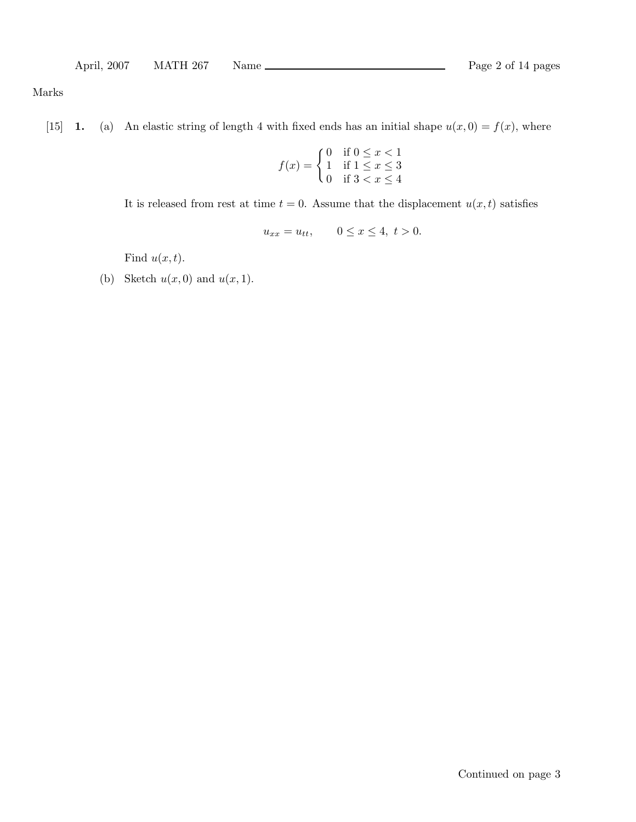Marks

[15] **1.** (a) An elastic string of length 4 with fixed ends has an initial shape  $u(x, 0) = f(x)$ , where

$$
f(x) = \begin{cases} 0 & \text{if } 0 \le x < 1 \\ 1 & \text{if } 1 \le x \le 3 \\ 0 & \text{if } 3 < x \le 4 \end{cases}
$$

It is released from rest at time  $t = 0$ . Assume that the displacement  $u(x, t)$  satisfies

$$
u_{xx} = u_{tt},
$$
  $0 \le x \le 4, t > 0.$ 

Find  $u(x,t)$ .

(b) Sketch  $u(x, 0)$  and  $u(x, 1)$ .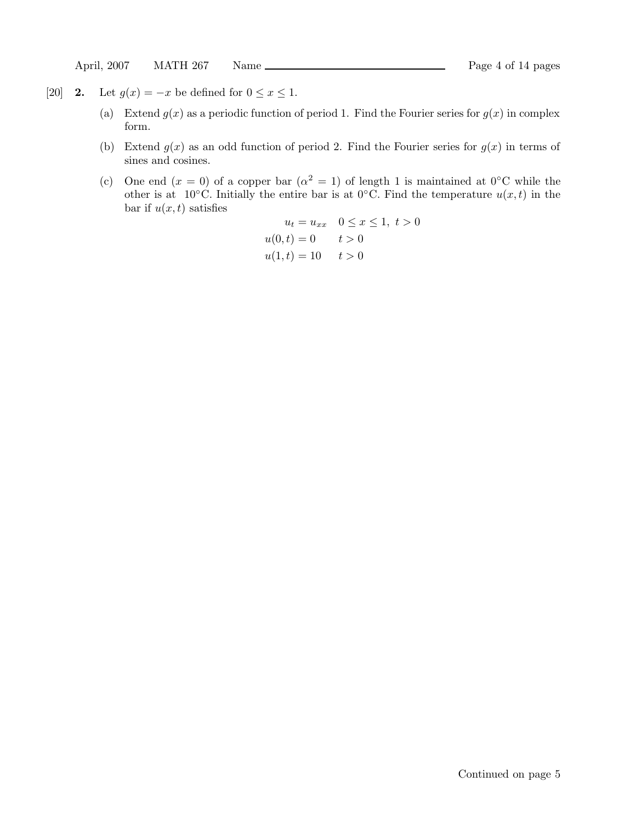- [20] **2.** Let  $g(x) = -x$  be defined for  $0 \le x \le 1$ .
	- (a) Extend  $g(x)$  as a periodic function of period 1. Find the Fourier series for  $g(x)$  in complex form.
	- (b) Extend  $g(x)$  as an odd function of period 2. Find the Fourier series for  $g(x)$  in terms of sines and cosines.
	- (c) One end  $(x = 0)$  of a copper bar  $(\alpha^2 = 1)$  of length 1 is maintained at 0°C while the other is at  $10^{\circ}$ C. Initially the entire bar is at  $0^{\circ}$ C. Find the temperature  $u(x,t)$  in the bar if  $u(x,t)$  satisfies

$$
u_t = u_{xx} \quad 0 \le x \le 1, \ t > 0
$$
  
 
$$
u(0, t) = 0 \qquad t > 0
$$
  
 
$$
u(1, t) = 10 \qquad t > 0
$$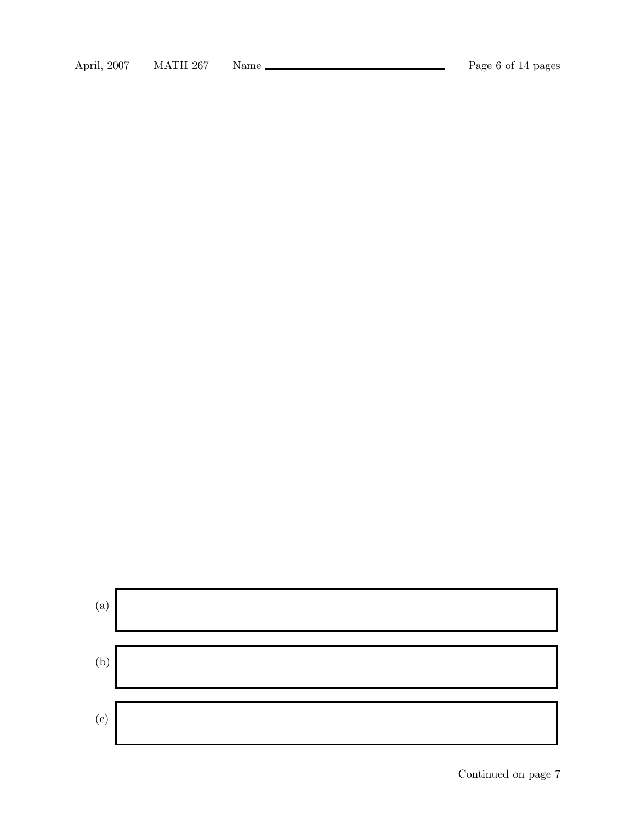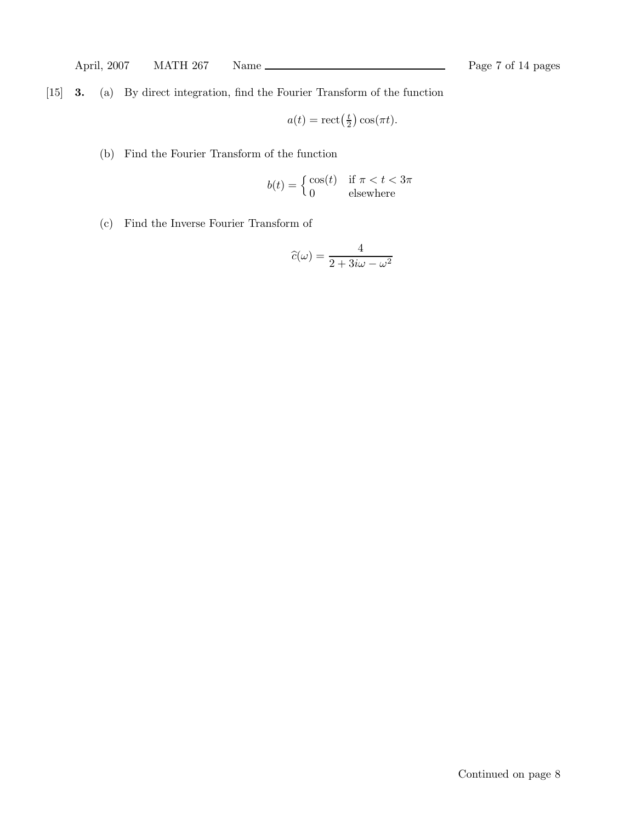[15] 3. (a) By direct integration, find the Fourier Transform of the function

$$
a(t) = \operatorname{rect}\left(\frac{t}{2}\right)\cos(\pi t).
$$

(b) Find the Fourier Transform of the function

$$
b(t) = \begin{cases} \cos(t) & \text{if } \pi < t < 3\pi \\ 0 & \text{elsewhere} \end{cases}
$$

(c) Find the Inverse Fourier Transform of

$$
\widehat{c}(\omega) = \frac{4}{2 + 3i\omega - \omega^2}
$$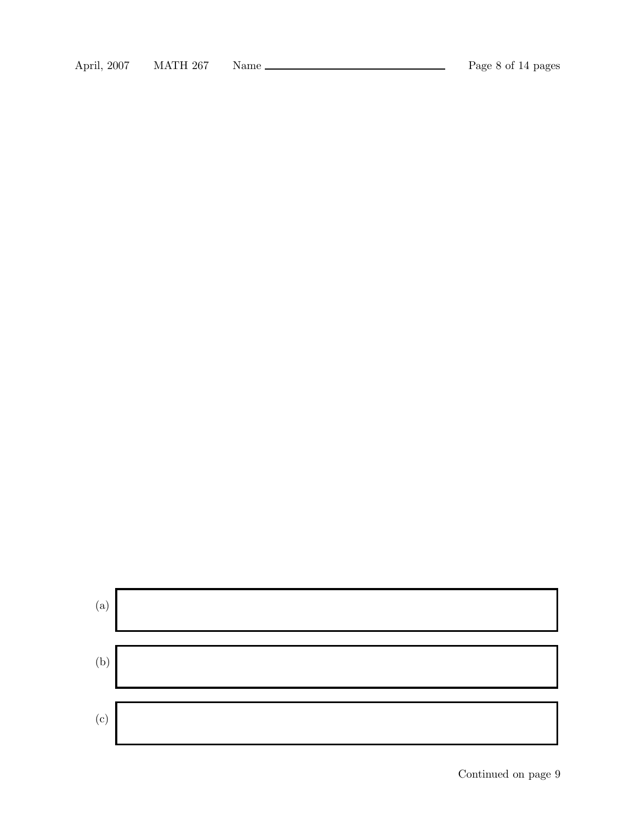

Continued on page 9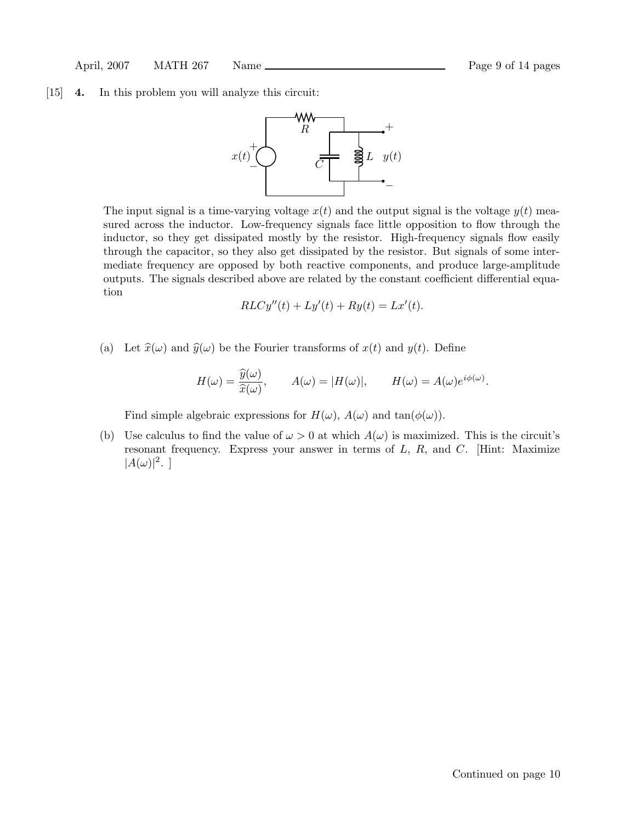#### [15] 4. In this problem you will analyze this circuit:



The input signal is a time-varying voltage  $x(t)$  and the output signal is the voltage  $y(t)$  measured across the inductor. Low-frequency signals face little opposition to flow through the inductor, so they get dissipated mostly by the resistor. High-frequency signals flow easily through the capacitor, so they also get dissipated by the resistor. But signals of some intermediate frequency are opposed by both reactive components, and produce large-amplitude outputs. The signals described above are related by the constant coefficient differential equation

$$
RLCy''(t) + Ly'(t) + Ry(t) = Lx'(t).
$$

(a) Let  $\hat{x}(\omega)$  and  $\hat{y}(\omega)$  be the Fourier transforms of  $x(t)$  and  $y(t)$ . Define

$$
H(\omega) = \frac{\widehat{y}(\omega)}{\widehat{x}(\omega)}, \qquad A(\omega) = |H(\omega)|, \qquad H(\omega) = A(\omega)e^{i\phi(\omega)}.
$$

Find simple algebraic expressions for  $H(\omega)$ ,  $A(\omega)$  and  $tan(\phi(\omega))$ .

(b) Use calculus to find the value of  $\omega > 0$  at which  $A(\omega)$  is maximized. This is the circuit's resonant frequency. Express your answer in terms of  $L, R$ , and  $C$ . [Hint: Maximize  $|A(\omega)|^2$ .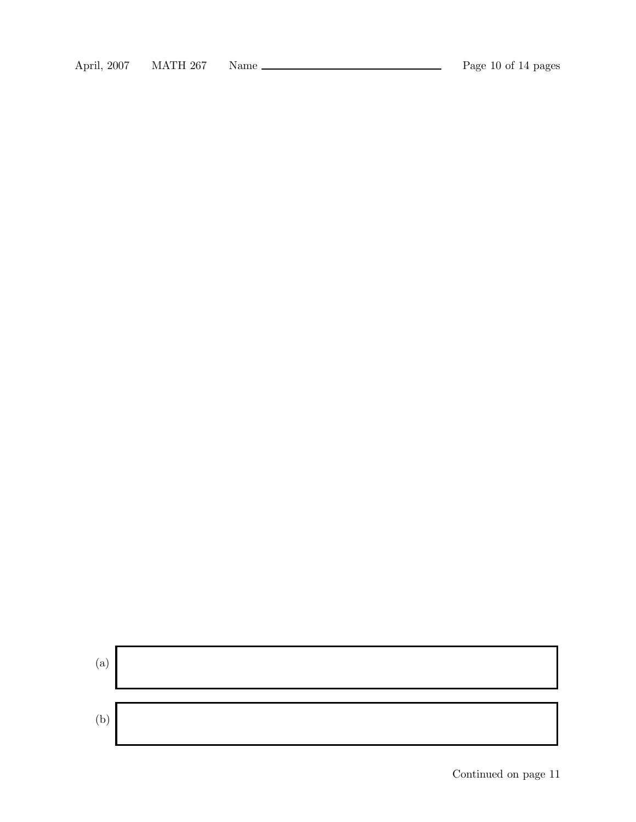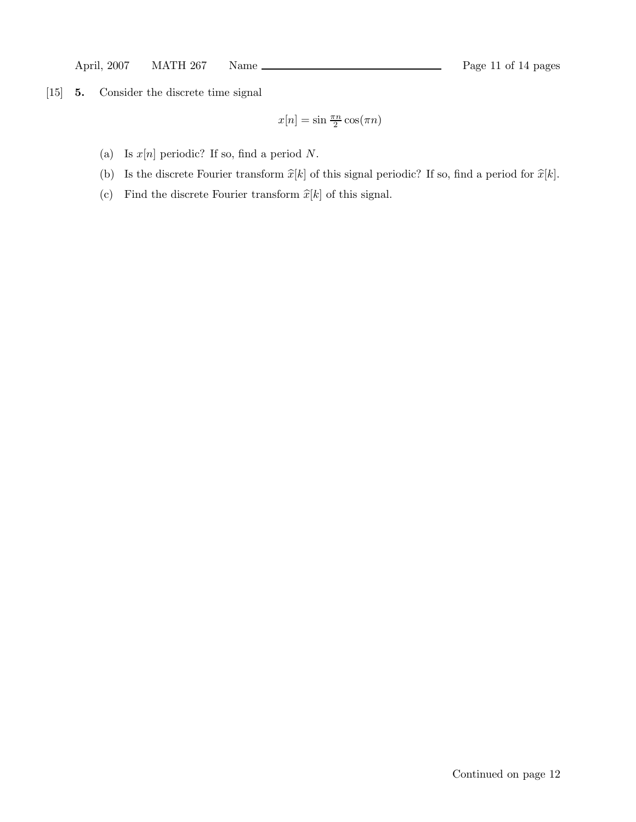[15] 5. Consider the discrete time signal

$$
x[n] = \sin \frac{\pi n}{2} \cos(\pi n)
$$

- (a) Is  $x[n]$  periodic? If so, find a period N.
- (b) Is the discrete Fourier transform  $\hat{x}[k]$  of this signal periodic? If so, find a period for  $\hat{x}[k]$ .
- (c) Find the discrete Fourier transform  $\widehat{x}[k]$  of this signal.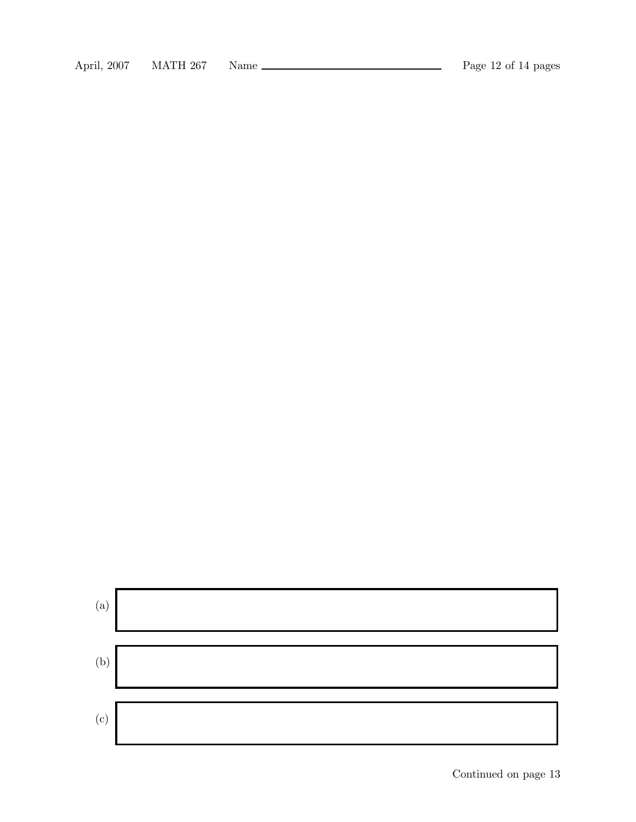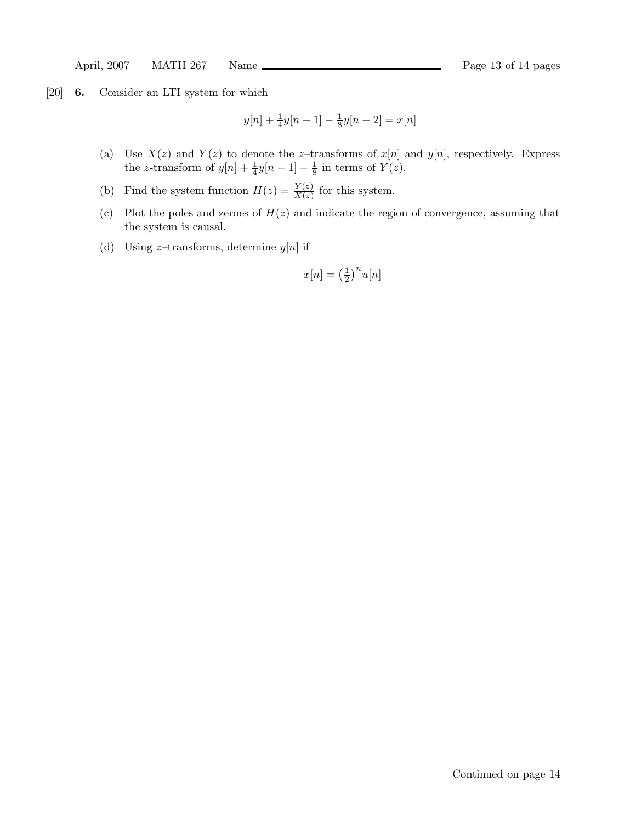[20] 6. Consider an LTI system for which

$$
y[n] + \frac{1}{4}y[n-1] - \frac{1}{8}y[n-2] = x[n]
$$

- (a) Use  $X(z)$  and  $Y(z)$  to denote the z-transforms of  $x[n]$  and  $y[n]$ , respectively. Express the z-transform of  $y[n] + \frac{1}{4}$  $\frac{1}{4}y[n-1]-\frac{1}{8}$  $\frac{1}{8}$  in terms of  $Y(z)$ .
- (b) Find the system function  $H(z) = \frac{Y(z)}{X(z)}$  $\frac{f(z)}{X(z)}$  for this system.
- (c) Plot the poles and zeroes of  $H(z)$  and indicate the region of convergence, assuming that the system is causal.
- (d) Using  $z$ -transforms, determine  $y[n]$  if

$$
x[n] = \left(\frac{1}{2}\right)^n u[n]
$$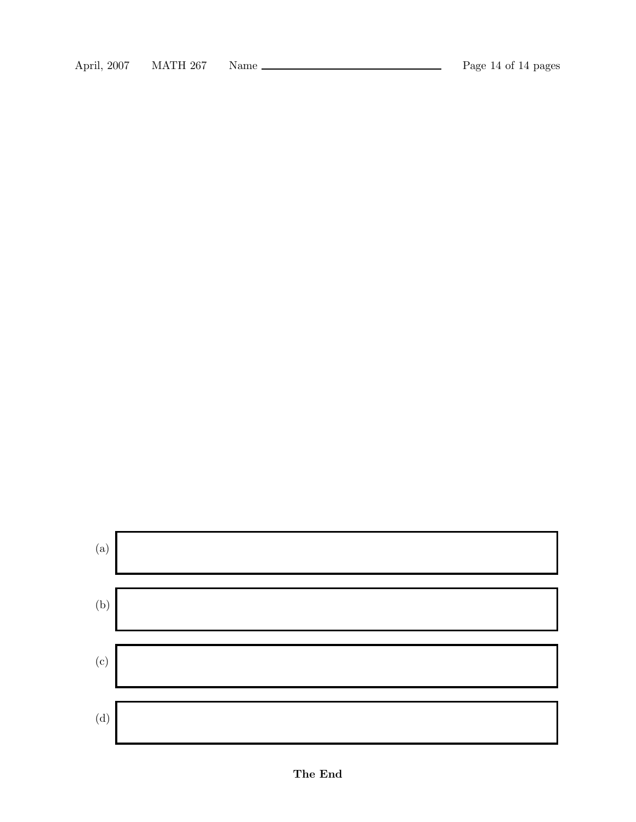